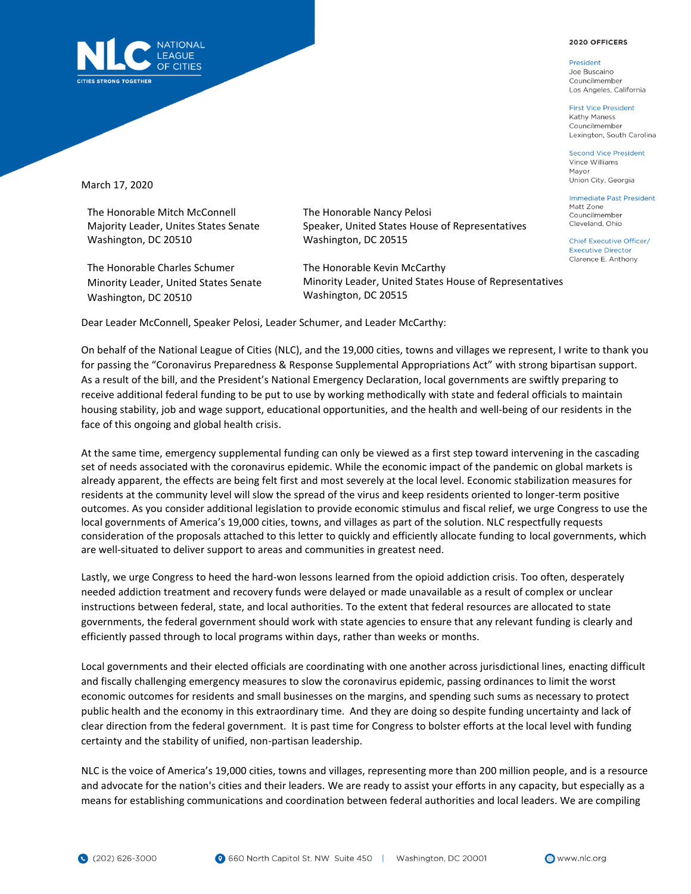## 2020 OFFICERS

President Joe Buscaino Councilmember Los Angeles, California

**First Vice President** Kathy Maness Councilmember Lexington, South Carolina

**Second Vice President** Vince Williams Mayor Union City, Georgia

Immediate Past President Matt Zone Councilmember Cleveland, Ohio

Chief Executive Officer/ **Executive Director** Clarence E. Anthony



March 17, 2020

The Honorable Mitch McConnell Majority Leader, Unites States Senate Washington, DC 20510

The Honorable Charles Schumer Minority Leader, United States Senate Washington, DC 20510

The Honorable Nancy Pelosi Speaker, United States House of Representatives Washington, DC 20515

The Honorable Kevin McCarthy Minority Leader, United States House of Representatives Washington, DC 20515

Dear Leader McConnell, Speaker Pelosi, Leader Schumer, and Leader McCarthy:

On behalf of the National League of Cities (NLC), and the 19,000 cities, towns and villages we represent, I write to thank you for passing the "Coronavirus Preparedness & Response Supplemental Appropriations Act" with strong bipartisan support. As a result of the bill, and the President's National Emergency Declaration, local governments are swiftly preparing to receive additional federal funding to be put to use by working methodically with state and federal officials to maintain housing stability, job and wage support, educational opportunities, and the health and well-being of our residents in the face of this ongoing and global health crisis.

At the same time, emergency supplemental funding can only be viewed as a first step toward intervening in the cascading set of needs associated with the coronavirus epidemic. While the economic impact of the pandemic on global markets is already apparent, the effects are being felt first and most severely at the local level. Economic stabilization measures for residents at the community level will slow the spread of the virus and keep residents oriented to longer-term positive outcomes. As you consider additional legislation to provide economic stimulus and fiscal relief, we urge Congress to use the local governments of America's 19,000 cities, towns, and villages as part of the solution. NLC respectfully requests consideration of the proposals attached to this letter to quickly and efficiently allocate funding to local governments, which are well-situated to deliver support to areas and communities in greatest need.

Lastly, we urge Congress to heed the hard-won lessons learned from the opioid addiction crisis. Too often, desperately needed addiction treatment and recovery funds were delayed or made unavailable as a result of complex or unclear instructions between federal, state, and local authorities. To the extent that federal resources are allocated to state governments, the federal government should work with state agencies to ensure that any relevant funding is clearly and efficiently passed through to local programs within days, rather than weeks or months.

Local governments and their elected officials are coordinating with one another across jurisdictional lines, enacting difficult and fiscally challenging emergency measures to slow the coronavirus epidemic, passing ordinances to limit the worst economic outcomes for residents and small businesses on the margins, and spending such sums as necessary to protect public health and the economy in this extraordinary time. And they are doing so despite funding uncertainty and lack of clear direction from the federal government. It is past time for Congress to bolster efforts at the local level with funding certainty and the stability of unified, non-partisan leadership.

NLC is the voice of America's 19,000 cities, towns and villages, representing more than 200 million people, and is a resource and advocate for the nation's cities and their leaders. We are ready to assist your efforts in any capacity, but especially as a means for establishing communications and coordination between federal authorities and local leaders. We are compiling

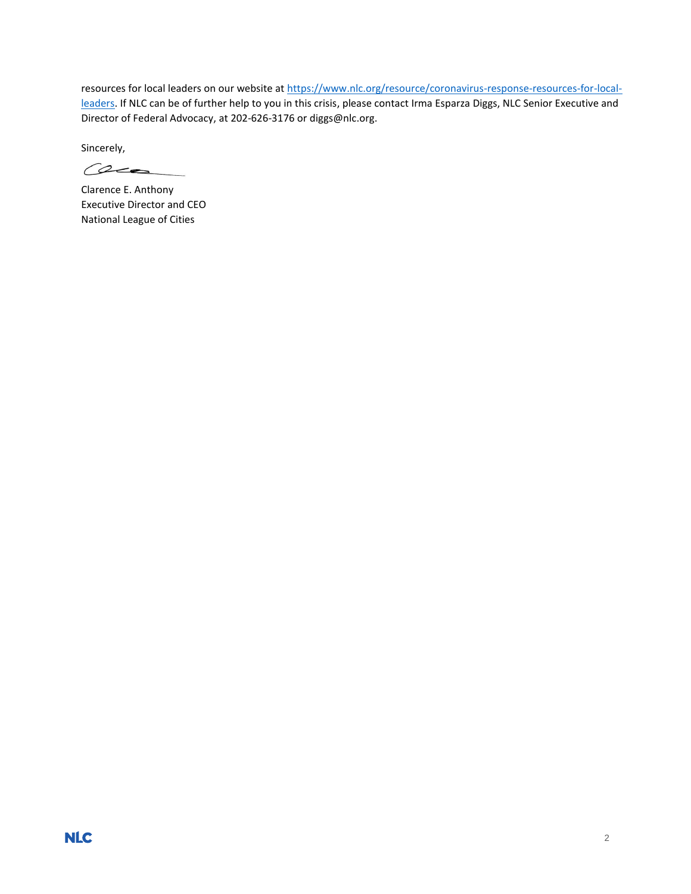resources for local leaders on our website a[t https://www.nlc.org/resource/coronavirus-response-resources-for-local](https://www.nlc.org/resource/coronavirus-response-resources-for-local-leaders)[leaders.](https://www.nlc.org/resource/coronavirus-response-resources-for-local-leaders) If NLC can be of further help to you in this crisis, please contact Irma Esparza Diggs, NLC Senior Executive and Director of Federal Advocacy, at 202-626-3176 or diggs@nlc.org.

Sincerely,

 $\omega$ 

Clarence E. Anthony Executive Director and CEO National League of Cities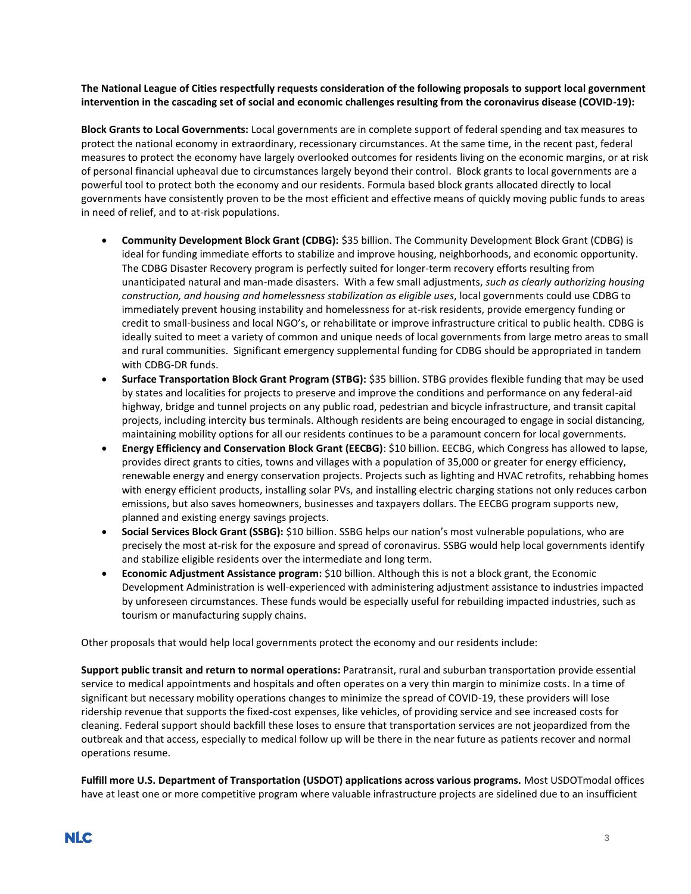## **The National League of Cities respectfully requests consideration of the following proposals to support local government intervention in the cascading set of social and economic challenges resulting from the coronavirus disease (COVID-19):**

**Block Grants to Local Governments:** Local governments are in complete support of federal spending and tax measures to protect the national economy in extraordinary, recessionary circumstances. At the same time, in the recent past, federal measures to protect the economy have largely overlooked outcomes for residents living on the economic margins, or at risk of personal financial upheaval due to circumstances largely beyond their control. Block grants to local governments are a powerful tool to protect both the economy and our residents. Formula based block grants allocated directly to local governments have consistently proven to be the most efficient and effective means of quickly moving public funds to areas in need of relief, and to at-risk populations.

- **Community Development Block Grant (CDBG):** \$35 billion. The Community Development Block Grant (CDBG) is ideal for funding immediate efforts to stabilize and improve housing, neighborhoods, and economic opportunity. The CDBG Disaster Recovery program is perfectly suited for longer-term recovery efforts resulting from unanticipated natural and man-made disasters. With a few small adjustments, *such as clearly authorizing housing construction, and housing and homelessness stabilization as eligible uses*, local governments could use CDBG to immediately prevent housing instability and homelessness for at-risk residents, provide emergency funding or credit to small-business and local NGO's, or rehabilitate or improve infrastructure critical to public health. CDBG is ideally suited to meet a variety of common and unique needs of local governments from large metro areas to small and rural communities. Significant emergency supplemental funding for CDBG should be appropriated in tandem with CDBG-DR funds.
- **Surface Transportation Block Grant Program (STBG):** \$35 billion. STBG provides flexible funding that may be used by states and localities for projects to preserve and improve the conditions and performance on any federal-aid highway, bridge and tunnel projects on any public road, pedestrian and bicycle infrastructure, and transit capital projects, including intercity bus terminals. Although residents are being encouraged to engage in social distancing, maintaining mobility options for all our residents continues to be a paramount concern for local governments.
- **Energy Efficiency and Conservation Block Grant (EECBG)**: \$10 billion. EECBG, which Congress has allowed to lapse, provides direct grants to cities, towns and villages with a population of 35,000 or greater for energy efficiency, renewable energy and energy conservation projects. Projects such as lighting and HVAC retrofits, rehabbing homes with energy efficient products, installing solar PVs, and installing electric charging stations not only reduces carbon emissions, but also saves homeowners, businesses and taxpayers dollars. The EECBG program supports new, planned and existing energy savings projects.
- **Social Services Block Grant (SSBG):** \$10 billion. SSBG helps our nation's most vulnerable populations, who are precisely the most at-risk for the exposure and spread of coronavirus. SSBG would help local governments identify and stabilize eligible residents over the intermediate and long term.
- **Economic Adjustment Assistance program:** \$10 billion. Although this is not a block grant, the Economic Development Administration is well-experienced with administering adjustment assistance to industries impacted by unforeseen circumstances. These funds would be especially useful for rebuilding impacted industries, such as tourism or manufacturing supply chains.

Other proposals that would help local governments protect the economy and our residents include:

**Support public transit and return to normal operations:** Paratransit, rural and suburban transportation provide essential service to medical appointments and hospitals and often operates on a very thin margin to minimize costs. In a time of significant but necessary mobility operations changes to minimize the spread of COVID-19, these providers will lose ridership revenue that supports the fixed-cost expenses, like vehicles, of providing service and see increased costs for cleaning. Federal support should backfill these loses to ensure that transportation services are not jeopardized from the outbreak and that access, especially to medical follow up will be there in the near future as patients recover and normal operations resume.

**Fulfill more U.S. Department of Transportation (USDOT) applications across various programs.** Most USDOTmodal offices have at least one or more competitive program where valuable infrastructure projects are sidelined due to an insufficient

## **NLC**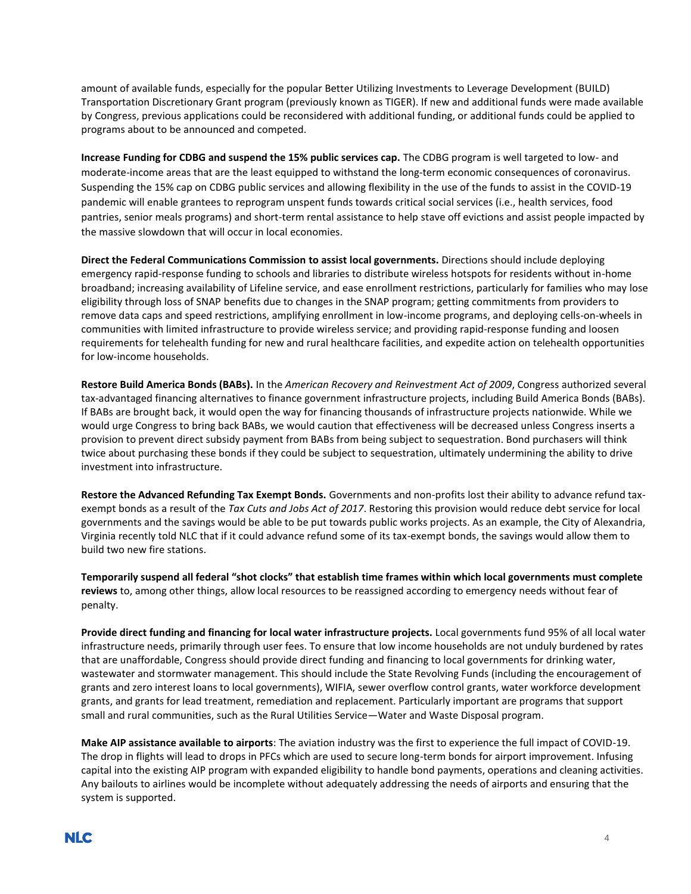amount of available funds, especially for the popular Better Utilizing Investments to Leverage Development (BUILD) Transportation Discretionary Grant program (previously known as TIGER). If new and additional funds were made available by Congress, previous applications could be reconsidered with additional funding, or additional funds could be applied to programs about to be announced and competed.

**Increase Funding for CDBG and suspend the 15% public services cap.** The CDBG program is well targeted to low- and moderate-income areas that are the least equipped to withstand the long-term economic consequences of coronavirus. Suspending the 15% cap on CDBG public services and allowing flexibility in the use of the funds to assist in the COVID-19 pandemic will enable grantees to reprogram unspent funds towards critical social services (i.e., health services, food pantries, senior meals programs) and short-term rental assistance to help stave off evictions and assist people impacted by the massive slowdown that will occur in local economies.

**Direct the Federal Communications Commission to assist local governments.** Directions should include deploying emergency rapid-response funding to schools and libraries to distribute wireless hotspots for residents without in-home broadband; increasing availability of Lifeline service, and ease enrollment restrictions, particularly for families who may lose eligibility through loss of SNAP benefits due to changes in the SNAP program; getting commitments from providers to remove data caps and speed restrictions, amplifying enrollment in low-income programs, and deploying cells-on-wheels in communities with limited infrastructure to provide wireless service; and providing rapid-response funding and loosen requirements for telehealth funding for new and rural healthcare facilities, and expedite action on telehealth opportunities for low-income households.

**Restore Build America Bonds (BABs).** In the *American Recovery and Reinvestment Act of 2009*, Congress authorized several tax-advantaged financing alternatives to finance government infrastructure projects, including Build America Bonds (BABs). If BABs are brought back, it would open the way for financing thousands of infrastructure projects nationwide. While we would urge Congress to bring back BABs, we would caution that effectiveness will be decreased unless Congress inserts a provision to prevent direct subsidy payment from BABs from being subject to sequestration. Bond purchasers will think twice about purchasing these bonds if they could be subject to sequestration, ultimately undermining the ability to drive investment into infrastructure.

**Restore the Advanced Refunding Tax Exempt Bonds.** Governments and non-profits lost their ability to advance refund taxexempt bonds as a result of the *Tax Cuts and Jobs Act of 2017*. Restoring this provision would reduce debt service for local governments and the savings would be able to be put towards public works projects. As an example, the City of Alexandria, Virginia recently told NLC that if it could advance refund some of its tax-exempt bonds, the savings would allow them to build two new fire stations.

**Temporarily suspend all federal "shot clocks" that establish time frames within which local governments must complete reviews** to, among other things, allow local resources to be reassigned according to emergency needs without fear of penalty.

**Provide direct funding and financing for local water infrastructure projects.** Local governments fund 95% of all local water infrastructure needs, primarily through user fees. To ensure that low income households are not unduly burdened by rates that are unaffordable, Congress should provide direct funding and financing to local governments for drinking water, wastewater and stormwater management. This should include the State Revolving Funds (including the encouragement of grants and zero interest loans to local governments), WIFIA, sewer overflow control grants, water workforce development grants, and grants for lead treatment, remediation and replacement. Particularly important are programs that support small and rural communities, such as the Rural Utilities Service—Water and Waste Disposal program.

**Make AIP assistance available to airports**: The aviation industry was the first to experience the full impact of COVID-19. The drop in flights will lead to drops in PFCs which are used to secure long-term bonds for airport improvement. Infusing capital into the existing AIP program with expanded eligibility to handle bond payments, operations and cleaning activities. Any bailouts to airlines would be incomplete without adequately addressing the needs of airports and ensuring that the system is supported.